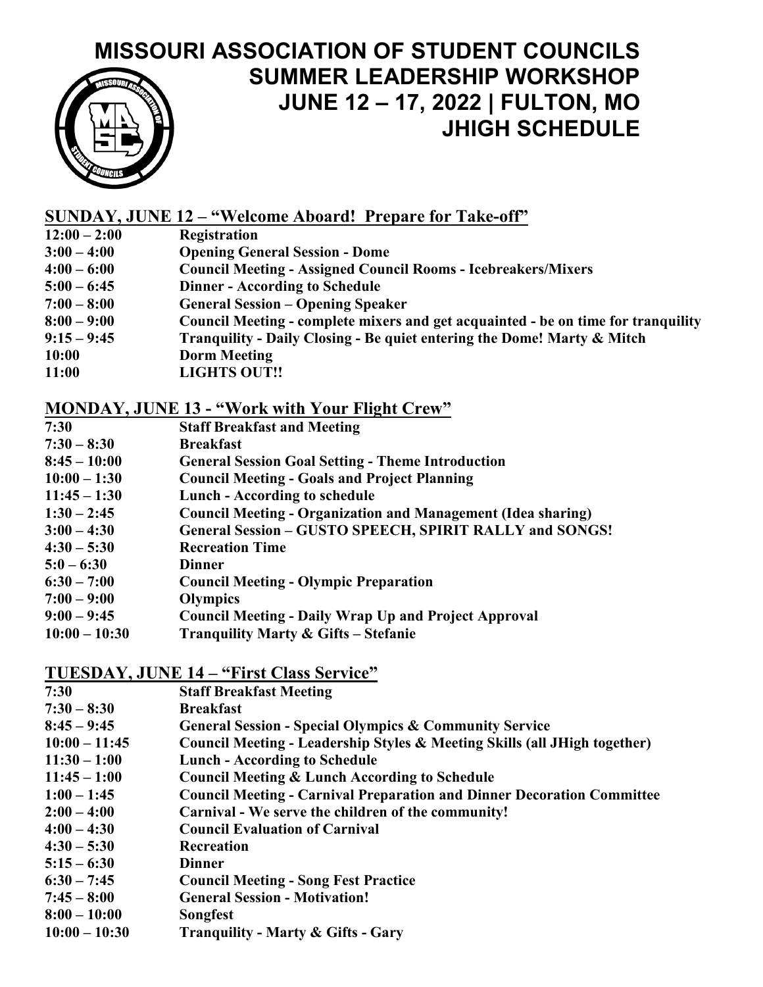# **MISSOURI ASSOCIATION OF STUDENT COUNCILS SUMMER LEADERSHIP WORKSHOP JUNE 12 – 17, 2022 | FULTON, MO JHIGH SCHEDULE**

### **SUNDAY, JUNE 12 – "Welcome Aboard! Prepare for Take-off"**

- **12:00 – 2:00 Registration**
- **3:00 – 4:00 Opening General Session - Dome**
- **4:00 – 6:00 Council Meeting - Assigned Council Rooms - Icebreakers/Mixers**
- **5:00 – 6:45 Dinner - According to Schedule**
- **7:00 – 8:00 General Session – Opening Speaker**
- **8:00 – 9:00 Council Meeting - complete mixers and get acquainted - be on time for tranquility**
- **9:15 – 9:45 Tranquility - Daily Closing - Be quiet entering the Dome! Marty & Mitch**
- **10:00 Dorm Meeting**
- **11:00 LIGHTS OUT!!**

#### **MONDAY, JUNE 13 - "Work with Your Flight Crew"**

- **7:30 Staff Breakfast and Meeting**
- **7:30 – 8:30 Breakfast**
- **8:45 – 10:00 General Session Goal Setting - Theme Introduction**
- **10:00 – 1:30 Council Meeting - Goals and Project Planning**
- **11:45 – 1:30 Lunch - According to schedule**
- **1:30 – 2:45 Council Meeting - Organization and Management (Idea sharing)**
- **3:00 – 4:30 General Session – GUSTO SPEECH, SPIRIT RALLY and SONGS!**
- **4:30 – 5:30 Recreation Time**
- **5:0 – 6:30 Dinner**
- **6:30 – 7:00 Council Meeting - Olympic Preparation**
- **7:00 – 9:00 Olympics**
- **9:00 – 9:45 Council Meeting - Daily Wrap Up and Project Approval**
- **10:00 – 10:30 Tranquility Marty & Gifts – Stefanie**

#### **TUESDAY, JUNE 14 – "First Class Service"**

- **7:30 Staff Breakfast Meeting**
- **7:30 – 8:30 Breakfast**
- **8:45 – 9:45 General Session - Special Olympics & Community Service**
- **10:00 – 11:45 Council Meeting - Leadership Styles & Meeting Skills (all JHigh together)**
- **11:30 – 1:00 Lunch - According to Schedule**
- **11:45 – 1:00 Council Meeting & Lunch According to Schedule**
- **1:00 – 1:45 Council Meeting - Carnival Preparation and Dinner Decoration Committee**
- **2:00 – 4:00 Carnival - We serve the children of the community!**
- **4:00 – 4:30 Council Evaluation of Carnival**
- **4:30 – 5:30 Recreation**
- **5:15 – 6:30 Dinner**
- **6:30 – 7:45 Council Meeting - Song Fest Practice**
- **7:45 – 8:00 General Session - Motivation!**
- **8:00 – 10:00 Songfest**
- **10:00 – 10:30 Tranquility - Marty & Gifts - Gary**